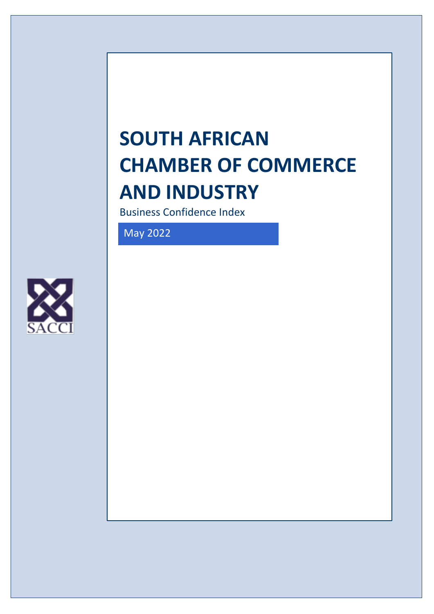# **SOUTH AFRICAN CHAMBER OF COMMERCE AND INDUSTRY**

Business Confidence Index

May 2022

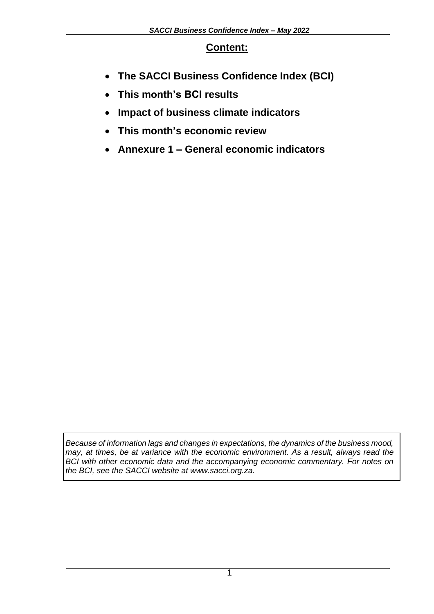#### **Content:**

- **The SACCI Business Confidence Index (BCI)**
- **This month's BCI results**
- **Impact of business climate indicators**
- **This month's economic review**
- **Annexure 1 – General economic indicators**

*Because of information lags and changes in expectations, the dynamics of the business mood, may, at times, be at variance with the economic environment. As a result, always read the BCI with other economic data and the accompanying economic commentary. For notes on the BCI, see the SACCI website at www.sacci.org.za.*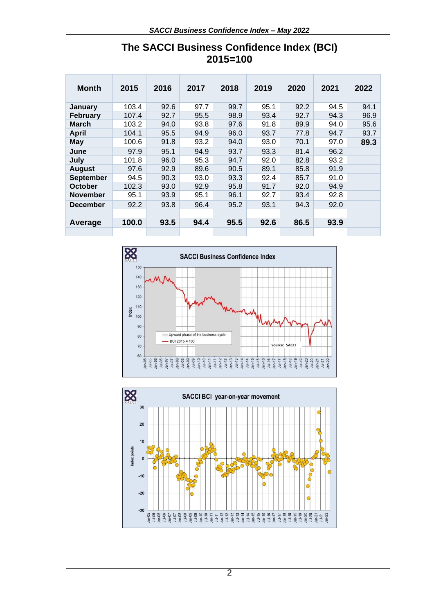| <b>Month</b>     | 2015  | 2016 | 2017 | 2018 | 2019 | 2020 | 2021 | 2022 |
|------------------|-------|------|------|------|------|------|------|------|
| <b>January</b>   | 103.4 | 92.6 | 97.7 | 99.7 | 95.1 | 92.2 | 94.5 | 94.1 |
| February         | 107.4 | 92.7 | 95.5 | 98.9 | 93.4 | 92.7 | 94.3 | 96.9 |
| <b>March</b>     | 103.2 | 94.0 | 93.8 | 97.6 | 91.8 | 89.9 | 94.0 | 95.6 |
| <b>April</b>     | 104.1 | 95.5 | 94.9 | 96.0 | 93.7 | 77.8 | 94.7 | 93.7 |
| <b>May</b>       | 100.6 | 91.8 | 93.2 | 94.0 | 93.0 | 70.1 | 97.0 | 89.3 |
| June             | 97.9  | 95.1 | 94.9 | 93.7 | 93.3 | 81.4 | 96.2 |      |
| July             | 101.8 | 96.0 | 95.3 | 94.7 | 92.0 | 82.8 | 93.2 |      |
| <b>August</b>    | 97.6  | 92.9 | 89.6 | 90.5 | 89.1 | 85.8 | 91.9 |      |
| <b>September</b> | 94.5  | 90.3 | 93.0 | 93.3 | 92.4 | 85.7 | 91.0 |      |
| October          | 102.3 | 93.0 | 92.9 | 95.8 | 91.7 | 92.0 | 94.9 |      |
| <b>November</b>  | 95.1  | 93.9 | 95.1 | 96.1 | 92.7 | 93.4 | 92.8 |      |
| <b>December</b>  | 92.2  | 93.8 | 96.4 | 95.2 | 93.1 | 94.3 | 92.0 |      |
|                  |       |      |      |      |      |      |      |      |
| Average          | 100.0 | 93.5 | 94.4 | 95.5 | 92.6 | 86.5 | 93.9 |      |
|                  |       |      |      |      |      |      |      |      |

# **The SACCI Business Confidence Index (BCI) 2015=100**



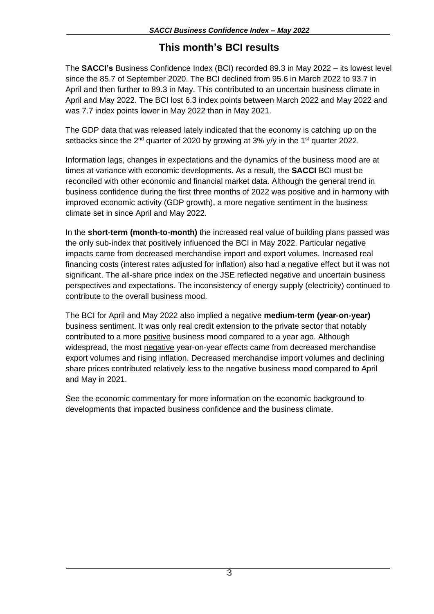# **This month's BCI results**

The **SACCI's** Business Confidence Index (BCI) recorded 89.3 in May 2022 – its lowest level since the 85.7 of September 2020. The BCI declined from 95.6 in March 2022 to 93.7 in April and then further to 89.3 in May. This contributed to an uncertain business climate in April and May 2022. The BCI lost 6.3 index points between March 2022 and May 2022 and was 7.7 index points lower in May 2022 than in May 2021.

The GDP data that was released lately indicated that the economy is catching up on the setbacks since the  $2^{nd}$  quarter of 2020 by growing at 3%  $v/v$  in the 1<sup>st</sup> quarter 2022.

Information lags, changes in expectations and the dynamics of the business mood are at times at variance with economic developments. As a result, the **SACCI** BCI must be reconciled with other economic and financial market data. Although the general trend in business confidence during the first three months of 2022 was positive and in harmony with improved economic activity (GDP growth), a more negative sentiment in the business climate set in since April and May 2022.

In the **short-term (month-to-month)** the increased real value of building plans passed was the only sub-index that positively influenced the BCI in May 2022. Particular negative impacts came from decreased merchandise import and export volumes. Increased real financing costs (interest rates adjusted for inflation) also had a negative effect but it was not significant. The all-share price index on the JSE reflected negative and uncertain business perspectives and expectations. The inconsistency of energy supply (electricity) continued to contribute to the overall business mood.

The BCI for April and May 2022 also implied a negative **medium-term (year-on-year)** business sentiment. It was only real credit extension to the private sector that notably contributed to a more positive business mood compared to a year ago. Although widespread, the most negative year-on-year effects came from decreased merchandise export volumes and rising inflation. Decreased merchandise import volumes and declining share prices contributed relatively less to the negative business mood compared to April and May in 2021.

See the economic commentary for more information on the economic background to developments that impacted business confidence and the business climate.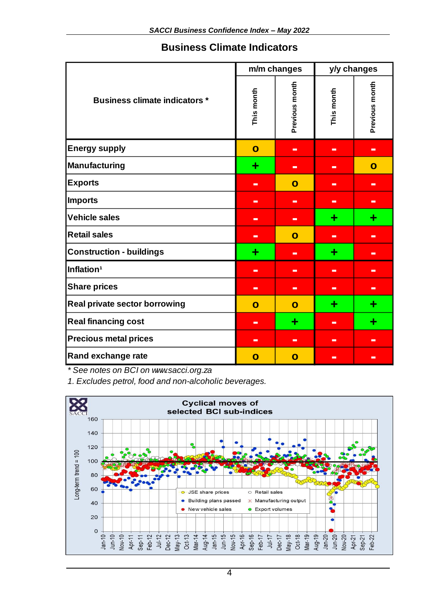#### **Business Climate Indicators**

|                                      |                | m/m changes    | y/y changes    |                |  |
|--------------------------------------|----------------|----------------|----------------|----------------|--|
| <b>Business climate indicators *</b> | This month     | Previous month | This month     | Previous month |  |
| <b>Energy supply</b>                 | $\mathbf{o}$   | $\blacksquare$ | $\blacksquare$ | $\blacksquare$ |  |
| <b>Manufacturing</b>                 | ÷              | $\blacksquare$ | $\equiv$       | $\mathbf{o}$   |  |
| <b>Exports</b>                       | $\blacksquare$ | $\mathbf{o}$   | $\blacksquare$ | $\blacksquare$ |  |
| <b>Imports</b>                       | $\blacksquare$ | $\blacksquare$ | $\equiv$       | $\blacksquare$ |  |
| <b>Vehicle sales</b>                 | $\equiv$       | $\equiv$       | ٠              | ٠              |  |
| <b>Retail sales</b>                  | $\blacksquare$ | $\mathbf{o}$   | $\equiv$       | $\equiv$       |  |
| <b>Construction - buildings</b>      | ÷              | $\equiv$       | ٠              | $\Box$         |  |
| Inflation <sup>1</sup>               | $\blacksquare$ | $\equiv$       | $\blacksquare$ | $\blacksquare$ |  |
| <b>Share prices</b>                  | $\blacksquare$ | $\blacksquare$ | ÷              | $\blacksquare$ |  |
| Real private sector borrowing        | $\mathbf{o}$   | $\mathbf{o}$   | ٠              | ÷              |  |
| <b>Real financing cost</b>           | $\equiv$       | ÷              | $\blacksquare$ | ÷              |  |
| <b>Precious metal prices</b>         | $\equiv$       | $\equiv$       | $\equiv$       | $\equiv$       |  |
| Rand exchange rate                   | $\mathbf{o}$   | O              | $\blacksquare$ | $\blacksquare$ |  |

*\* See notes on BCI on www.sacci.org.za*

*1. Excludes petrol, food and non-alcoholic beverages.* 

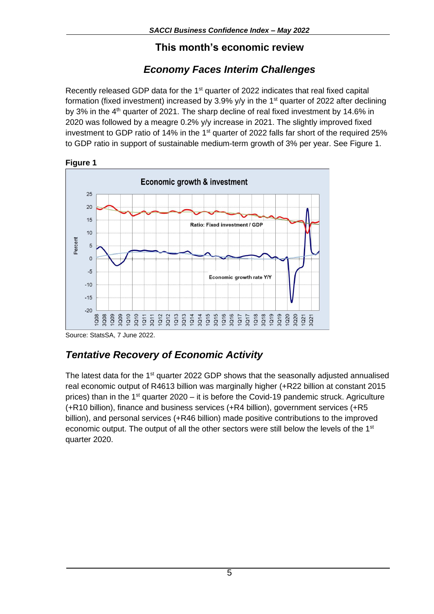#### **This month's economic review**

# *Economy Faces Interim Challenges*

Recently released GDP data for the 1<sup>st</sup> quarter of 2022 indicates that real fixed capital formation (fixed investment) increased by 3.9% y/y in the 1<sup>st</sup> quarter of 2022 after declining by 3% in the 4<sup>th</sup> quarter of 2021. The sharp decline of real fixed investment by 14.6% in 2020 was followed by a meagre 0.2% y/y increase in 2021. The slightly improved fixed investment to GDP ratio of 14% in the 1<sup>st</sup> quarter of 2022 falls far short of the required 25% to GDP ratio in support of sustainable medium-term growth of 3% per year. See Figure 1.



**Figure 1** 

Source: StatsSA, 7 June 2022.

# *Tentative Recovery of Economic Activity*

The latest data for the  $1<sup>st</sup>$  quarter 2022 GDP shows that the seasonally adjusted annualised real economic output of R4613 billion was marginally higher (+R22 billion at constant 2015 prices) than in the 1<sup>st</sup> quarter 2020 – it is before the Covid-19 pandemic struck. Agriculture (+R10 billion), finance and business services (+R4 billion), government services (+R5 billion), and personal services (+R46 billion) made positive contributions to the improved economic output. The output of all the other sectors were still below the levels of the 1<sup>st</sup> quarter 2020.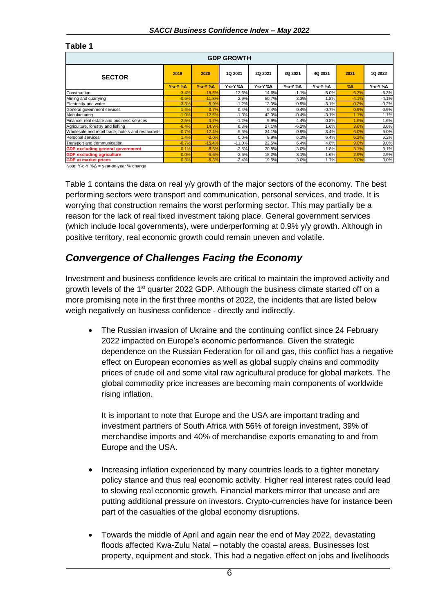#### **Table 1**

| <b>GDP GROWTH</b>                                  |                |                        |                 |                 |          |                 |               |                 |  |  |  |
|----------------------------------------------------|----------------|------------------------|-----------------|-----------------|----------|-----------------|---------------|-----------------|--|--|--|
| <b>SECTOR</b>                                      | 2019           | 2020                   | 1Q 2021         | 2Q 2021         | 3Q 2021  | 4Q 2021         | 2021          | 1Q 2022         |  |  |  |
|                                                    | <b>Y-o-Y %</b> | $Y - O - Y$ % $\Delta$ | <b>Y-o-Y</b> %Δ | <b>Υ-ο-Υ</b> %Δ | Y-o-Y %A | <b>Y-o-Y</b> %Δ | $\%$ $\Delta$ | <b>Y-o-Y</b> %Δ |  |  |  |
| Construction                                       | $-3.4%$        | $-18.5%$               | $-12.6%$        | 14.6%           | $-1.1%$  | $-5.0\%$        | $-6.3%$       | $-6.3%$         |  |  |  |
| Mining and quarrying                               | $-0.6%$        | $-11.8%$               | 2.9%            | 50.7%           | 3.3%     | 1.8%            | $-4.1%$       | $-4.1%$         |  |  |  |
| Electricity and water                              | $-3.3%$        | $-5.9%$                | $-1.2%$         | 13.3%           | 0.9%     | $-3.1%$         | $-0.2%$       | $-0.2%$         |  |  |  |
| General government services                        | 1.4%           | 0.7%                   | 0.4%            | 0.4%            | 0.4%     | $-0.7%$         | 0.9%          | 0.9%            |  |  |  |
| Manufacturing                                      | $-1.0%$        | $-12.5%$               | $-1.3%$         | 42.3%           | $-0.4%$  | $-3.1\%$        | 1.1%          | 1.1%            |  |  |  |
| Finance, real estate and business services         | 2.5%           | 0.7%                   | $-1.2%$         | 9.9%            | 4.4%     | $0.8\%$         | 1.6%          | 1.6%            |  |  |  |
| Agriculture, forestry and fishing                  | $-6.4%$        | 14.9%                  | 6.3%            | 27.1%           | $-6.2%$  | $1.6\%$         | 3.6%          | 3.6%            |  |  |  |
| Wholesale and retail trade; hotels and restaurants | $-0.7%$        | $-12.4%$               | $-5.5%$         | 34.1%           | 0.9%     | 3.4%            | 6.0%          | 6.0%            |  |  |  |
| Personal services                                  | 1.4%           | $-2.0%$                | 0.0%            | 9.9%            | 6.1%     | 6.4%            | 6.2%          | 6.2%            |  |  |  |
| Transport and communication                        | $-0.7%$        | $-15.4%$               | $-11.0%$        | 22.5%           | 6.4%     | 4.8%            | 9.0%          | 9.0%            |  |  |  |
| <b>GDP excluding general government</b>            | 0.1%           | $-6.6%$                | $-2.5%$         | 20.8%           | 3.0%     | $1.8\%$         | 3.1%          | 3.1%            |  |  |  |
| <b>GDP excluding agriculture</b>                   | 0.0%           | $-6.5%$                | $-2.5%$         | 18.2%           | 3.1%     | $1.6\%$         | 2.9%          | 2.9%            |  |  |  |
| <b>GDP</b> at market prices                        | 0.3%           | $-6.3%$                | $-2.4%$         | 19.5%           | 3.0%     | 1.7%            | 3.0%          | 3.0%            |  |  |  |

Note: Y-o-Y %Δ = year-on-year % change

Table 1 contains the data on real y/y growth of the major sectors of the economy. The best performing sectors were transport and communication, personal services, and trade. It is worrying that construction remains the worst performing sector. This may partially be a reason for the lack of real fixed investment taking place. General government services (which include local governments), were underperforming at 0.9% y/y growth. Although in positive territory, real economic growth could remain uneven and volatile.

#### *Convergence of Challenges Facing the Economy*

Investment and business confidence levels are critical to maintain the improved activity and growth levels of the 1<sup>st</sup> quarter 2022 GDP. Although the business climate started off on a more promising note in the first three months of 2022, the incidents that are listed below weigh negatively on business confidence - directly and indirectly.

• The Russian invasion of Ukraine and the continuing conflict since 24 February 2022 impacted on Europe's economic performance. Given the strategic dependence on the Russian Federation for oil and gas, this conflict has a negative effect on European economies as well as global supply chains and commodity prices of crude oil and some vital raw agricultural produce for global markets. The global commodity price increases are becoming main components of worldwide rising inflation.

It is important to note that Europe and the USA are important trading and investment partners of South Africa with 56% of foreign investment, 39% of merchandise imports and 40% of merchandise exports emanating to and from Europe and the USA.

- Increasing inflation experienced by many countries leads to a tighter monetary policy stance and thus real economic activity. Higher real interest rates could lead to slowing real economic growth. Financial markets mirror that unease and are putting additional pressure on investors. Crypto-currencies have for instance been part of the casualties of the global economy disruptions.
- Towards the middle of April and again near the end of May 2022, devastating floods affected Kwa-Zulu Natal – notably the coastal areas. Businesses lost property, equipment and stock. This had a negative effect on jobs and livelihoods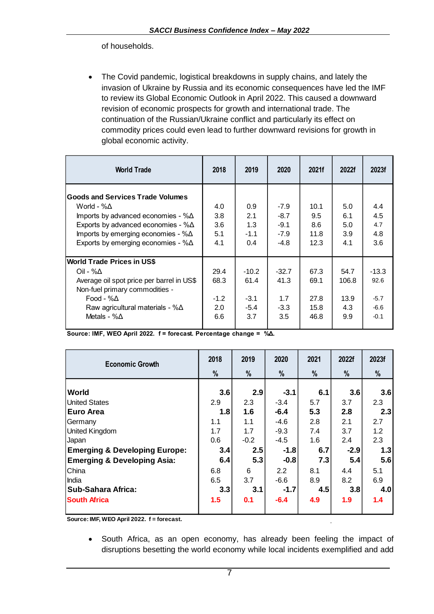of households.

• The Covid pandemic, logistical breakdowns in supply chains, and lately the invasion of Ukraine by Russia and its economic consequences have led the IMF to review its Global Economic Outlook in April 2022. This caused a downward revision of economic prospects for growth and international trade. The continuation of the Russian/Ukraine conflict and particularly its effect on commodity prices could even lead to further downward revisions for growth in global economic activity.

| <b>World Trade</b>                                                                                                                                                                                                                   | 2018                                 | 2019                                       | 2020                                           | 2021f                                | 2022f                               | 2023f                                         |
|--------------------------------------------------------------------------------------------------------------------------------------------------------------------------------------------------------------------------------------|--------------------------------------|--------------------------------------------|------------------------------------------------|--------------------------------------|-------------------------------------|-----------------------------------------------|
| <b>Goods and Services Trade Volumes</b><br>World - %∆<br>Imports by advanced economies - $%$ $\Delta$<br>Exports by advanced economies - $%$ $\triangle$<br>Imports by emerging economies - %∆<br>Exports by emerging economies - %∆ | 4.0<br>3.8<br>3.6<br>5.1<br>4.1      | 0.9<br>2.1<br>1.3<br>$-1.1$<br>0.4         | $-7.9$<br>$-8.7$<br>$-9.1$<br>$-7.9$<br>$-4.8$ | 10.1<br>9.5<br>8.6<br>11.8<br>12.3   | 5.0<br>6.1<br>5.0<br>3.9<br>4.1     | 4.4<br>4.5<br>4.7<br>4.8<br>3.6               |
| <b>World Trade Prices in US\$</b><br>Oil - %Δ<br>Average oil spot price per barrel in US\$<br>Non-fuel primary commodities -<br>Food - $\% \Delta$<br>Raw agricultural materials - $%$ $\Delta$<br>Metals - $%$ $\triangle$          | 29.4<br>68.3<br>$-1.2$<br>2.0<br>6.6 | $-10.2$<br>61.4<br>$-3.1$<br>$-5.4$<br>3.7 | $-32.7$<br>41.3<br>1.7<br>$-3.3$<br>3.5        | 67.3<br>69.1<br>27.8<br>15.8<br>46.8 | 54.7<br>106.8<br>13.9<br>4.3<br>9.9 | $-13.3$<br>92.6<br>$-5.7$<br>$-6.6$<br>$-0.1$ |

**Source: IMF, WEO April 2022. f = forecast. Percentage change = %Δ.**

| <b>Economic Growth</b>                   | 2018 | 2019   | 2020   | 2021 | 2022f  | 2023f |
|------------------------------------------|------|--------|--------|------|--------|-------|
|                                          | %    | %      | %      | %    | %      | $\%$  |
|                                          |      |        |        |      |        |       |
| World                                    | 3.6  | 2.9    | $-3.1$ | 6.1  | 3.6    | 3.6   |
| <b>United States</b>                     | 2.9  | 2.3    | $-3.4$ | 5.7  | 3.7    | 2.3   |
| Euro Area                                | 1.8  | 1.6    | $-6.4$ | 5.3  | 2.8    | 2.3   |
| Germany                                  | 1.1  | 1.1    | $-4.6$ | 2.8  | 2.1    | 2.7   |
| United Kingdom                           | 1.7  | 1.7    | $-9.3$ | 7.4  | 3.7    | 1.2   |
| Japan                                    | 0.6  | $-0.2$ | $-4.5$ | 1.6  | 2.4    | 2.3   |
| <b>Emerging &amp; Developing Europe:</b> | 3.4  | 2.5    | $-1.8$ | 6.7  | $-2.9$ | 1.3   |
| <b>Emerging &amp; Developing Asia:</b>   | 6.4  | 5.3    | $-0.8$ | 7.3  | 5.4    | 5.6   |
| <b>China</b>                             | 6.8  | 6      | 2.2    | 8.1  | 4.4    | 5.1   |
| India                                    | 6.5  | 3.7    | $-6.6$ | 8.9  | 8.2    | 6.9   |
| <b>Sub-Sahara Africa:</b>                | 3.3  | 3.1    | $-1.7$ | 4.5  | 3.8    | 4.0   |
| <b>South Africa</b>                      | 1.5  | 0.1    | $-6.4$ | 4.9  | 1.9    | 1.4   |

**Source: IMF, WEO April 2022. f = forecast.**

• South Africa, as an open economy, has already been feeling the impact of disruptions besetting the world economy while local incidents exemplified and add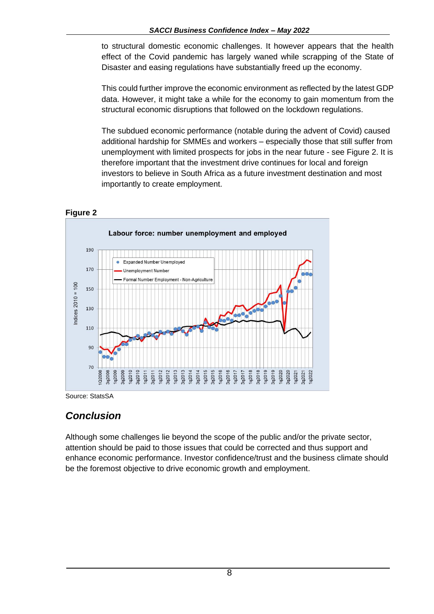to structural domestic economic challenges. It however appears that the health effect of the Covid pandemic has largely waned while scrapping of the State of Disaster and easing regulations have substantially freed up the economy.

This could further improve the economic environment as reflected by the latest GDP data. However, it might take a while for the economy to gain momentum from the structural economic disruptions that followed on the lockdown regulations.

The subdued economic performance (notable during the advent of Covid) caused additional hardship for SMMEs and workers – especially those that still suffer from unemployment with limited prospects for jobs in the near future - see Figure 2. It is therefore important that the investment drive continues for local and foreign investors to believe in South Africa as a future investment destination and most importantly to create employment.



#### **Figure 2**

Source: StatsSA

### *Conclusion*

Although some challenges lie beyond the scope of the public and/or the private sector, attention should be paid to those issues that could be corrected and thus support and enhance economic performance. Investor confidence/trust and the business climate should be the foremost objective to drive economic growth and employment.